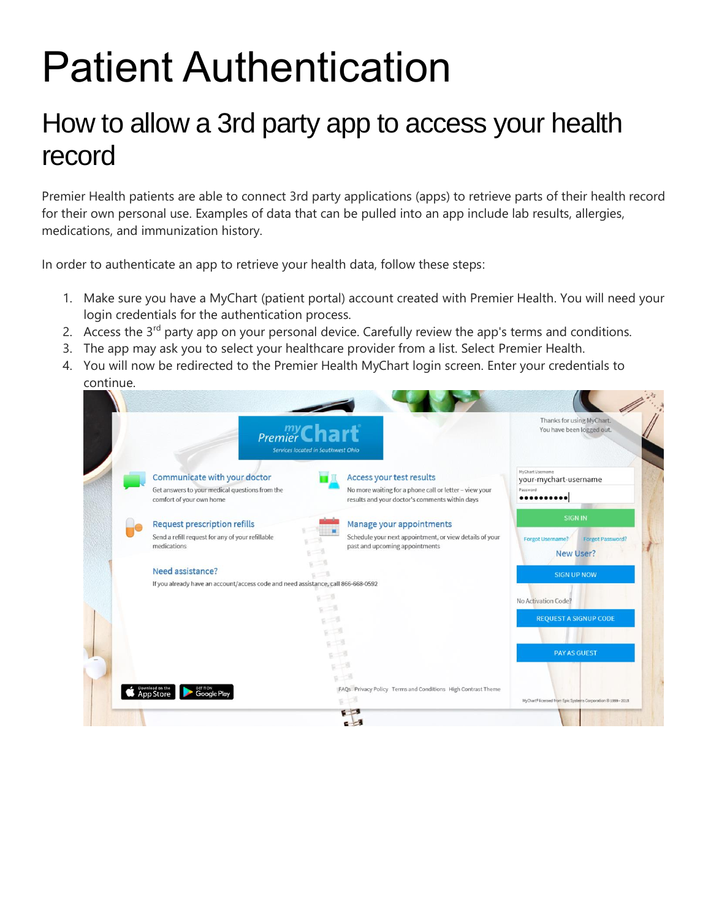## Patient Authentication

## How to allow a 3rd party app to access your health record

Premier Health patients are able to connect 3rd party applications (apps) to retrieve parts of their health record for their own personal use. Examples of data that can be pulled into an app include lab results, allergies, medications, and immunization history.

In order to authenticate an app to retrieve your health data, follow these steps:

- 1. Make sure you have a MyChart (patient portal) account created with Premier Health. You will need your login credentials for the authentication process.
- 2. Access the 3<sup>rd</sup> party app on your personal device. Carefully review the app's terms and conditions.
- 3. The app may ask you to select your healthcare provider from a list. Select Premier Health.
- 4. You will now be redirected to the Premier Health MyChart login screen. Enter your credentials to continue.

| Premier Chart<br>Services located in Southwest Ohio                                                                 | Thanks for using MyChart.<br>You have been logged out.                                                                               |                                                                                           |  |
|---------------------------------------------------------------------------------------------------------------------|--------------------------------------------------------------------------------------------------------------------------------------|-------------------------------------------------------------------------------------------|--|
| Communicate with your doctor<br>Get answers to your medical questions from the<br>comfort of your own home          | Access your test results<br>No more waiting for a phone call or letter - view your<br>results and your doctor's comments within days | MyChart Usemame<br>your-mychart-username<br>Password                                      |  |
| Request prescription refills<br>Send a refill request for any of your refillable<br>medications<br>Need assistance? | Manage your appointments<br>Schedule your next appointment, or view details of your<br>past and upcoming appointments                | <b>SIGN IN</b><br>Forgot Username?<br>Forgot Password?<br>New User?<br><b>SIGN UP NOW</b> |  |
| If you already have an account/access code and need assistance, call 866-668-0592                                   |                                                                                                                                      | No Activation Code?<br><b>REQUEST A SIGNUP CODE</b>                                       |  |
|                                                                                                                     |                                                                                                                                      | <b>PAY AS GUEST</b>                                                                       |  |
| <b>S</b> Download on the<br>Google Plat                                                                             | $6 - 53$<br>FAQs Privacy Policy Terms and Conditions High Contrast Theme                                                             | MyChart <sup>8</sup> licensed from Epic Systems Corporation @ 1999 - 2018                 |  |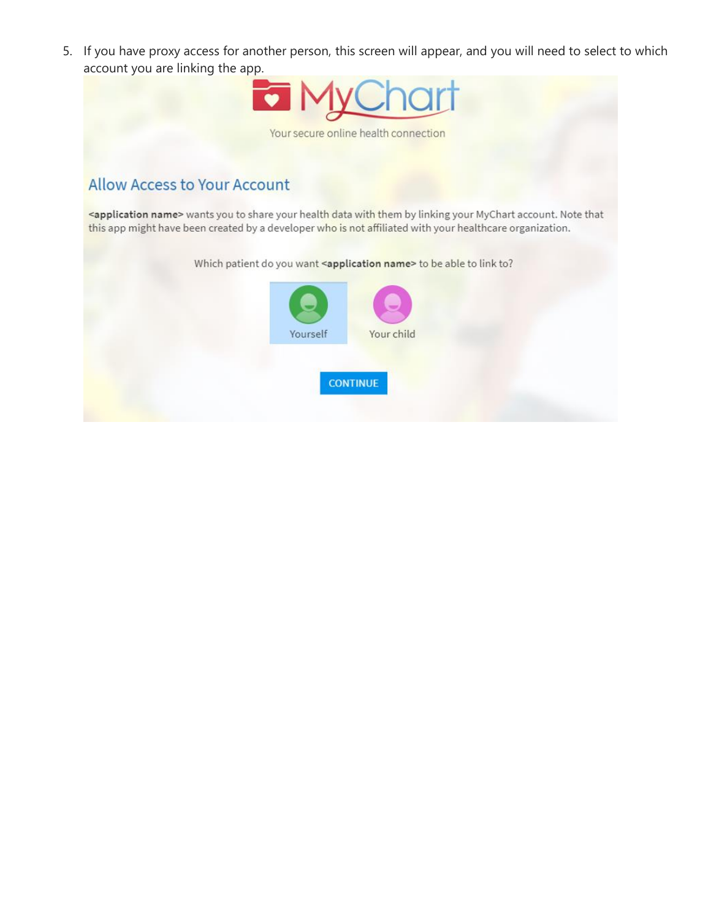5. If you have proxy access for another person, this screen will appear, and you will need to select to which account you are linking the app.



## **Allow Access to Your Account**

<application name> wants you to share your health data with them by linking your MyChart account. Note that this app might have been created by a developer who is not affiliated with your healthcare organization.

Which patient do you want <application name> to be able to link to?

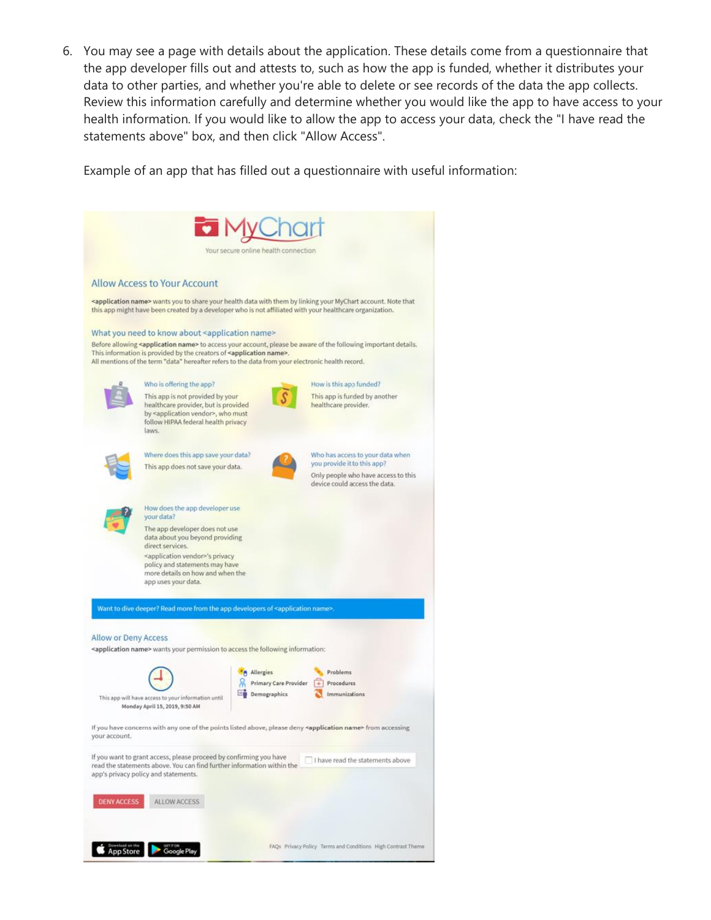6. You may see a page with details about the application. These details come from a questionnaire that the app developer fills out and attests to, such as how the app is funded, whether it distributes your data to other parties, and whether you're able to delete or see records of the data the app collects. Review this information carefully and determine whether you would like the app to have access to your health information. If you would like to allow the app to access your data, check the "I have read the statements above" box, and then click "Allow Access".

Example of an app that has filled out a questionnaire with useful information:

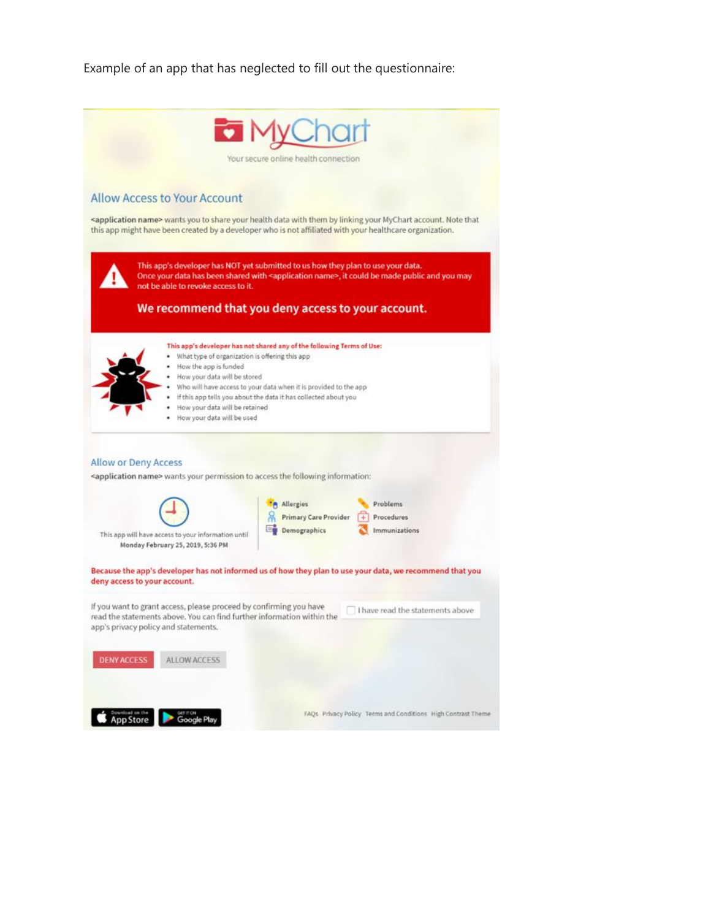Example of an app that has neglected to fill out the questionnaire: